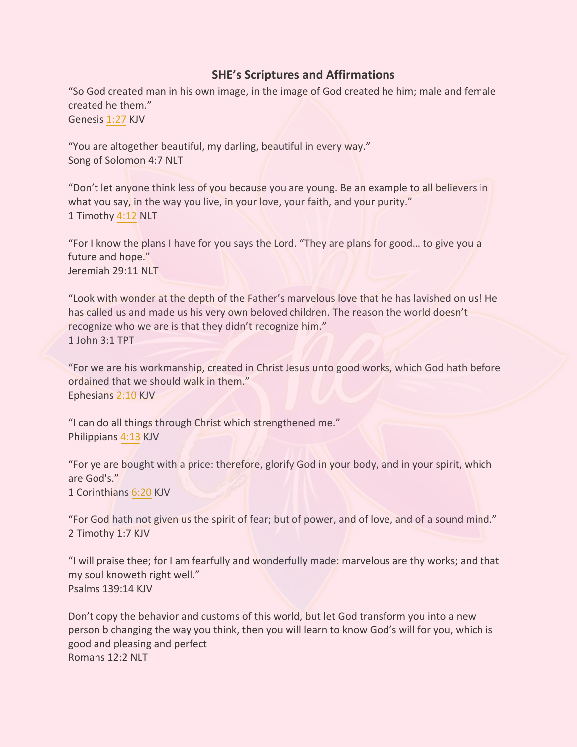## **SHE's Scriptures and Affirmations**

"So God created man in his own image, in the image of God created he him; male and female created he them." Genesis 1:27 KJV

"You are altogether beautiful, my darling, beautiful in every way." Song of Solomon 4:7 NLT

"Don't let anyone think less of you because you are young. Be an example to all believers in what you say, in the way you live, in your love, your faith, and your purity." 1 Timothy 4:12 NLT

"For I know the plans I have for you says the Lord. "They are plans for good… to give you a future and hope." Jeremiah 29:11 NLT

"Look with wonder at the depth of the Father's marvelous love that he has lavished on us! He has called us and made us his very own beloved children. The reason the world doesn't recognize who we are is that they didn't recognize him." 1 John 3:1 TPT

"For we are his workmanship, created in Christ Jesus unto good works, which God hath before ordained that we should walk in them." Ephesians 2:10 KJV

"I can do all things through Christ which strengthened me." Philippians 4:13 KJV

"For ye are bought with a price: therefore, glorify God in your body, and in your spirit, which are God's." 1 Corinthians 6:20 KJV

"For God hath not given us the spirit of fear; but of power, and of love, and of a sound mind." 2 Timothy 1:7 KJV

"I will praise thee; for I am fearfully and wonderfully made: marvelous are thy works; and that my soul knoweth right well." Psalms 139:14 KJV

Don't copy the behavior and customs of this world, but let God transform you into a new person b changing the way you think, then you will learn to know God's will for you, which is good and pleasing and perfect Romans 12:2 NLT